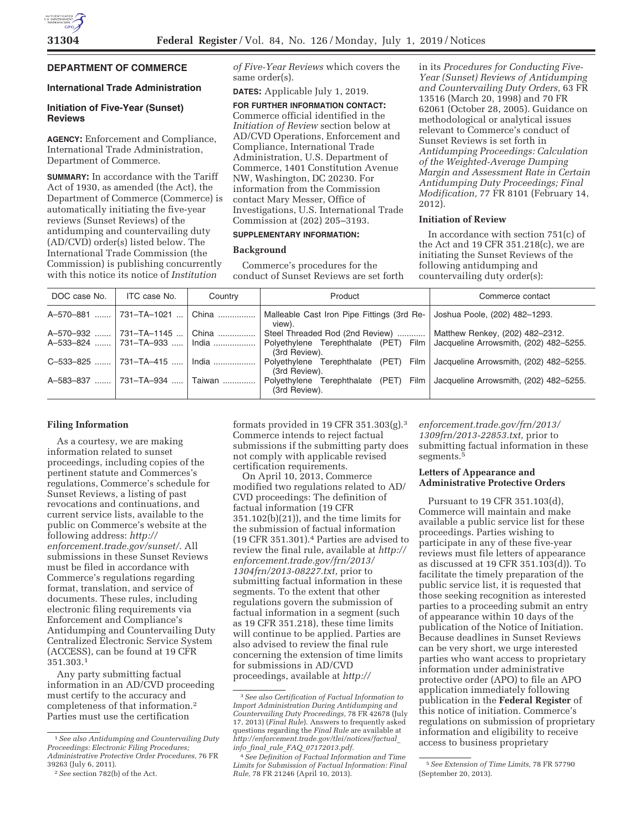# **DEPARTMENT OF COMMERCE**

### **International Trade Administration**

### **Initiation of Five-Year (Sunset) Reviews**

**AGENCY:** Enforcement and Compliance, International Trade Administration, Department of Commerce.

**SUMMARY:** In accordance with the Tariff Act of 1930, as amended (the Act), the Department of Commerce (Commerce) is automatically initiating the five-year reviews (Sunset Reviews) of the antidumping and countervailing duty (AD/CVD) order(s) listed below. The International Trade Commission (the Commission) is publishing concurrently with this notice its notice of *Institution* 

*of Five-Year Reviews* which covers the same order(s).

**DATES:** Applicable July 1, 2019.

**FOR FURTHER INFORMATION CONTACT:**  Commerce official identified in the *Initiation of Review* section below at AD/CVD Operations, Enforcement and Compliance, International Trade Administration, U.S. Department of Commerce, 1401 Constitution Avenue NW, Washington, DC 20230. For information from the Commission contact Mary Messer, Office of Investigations, U.S. International Trade Commission at (202) 205–3193.

## **SUPPLEMENTARY INFORMATION:**

### **Background**

Commerce's procedures for the conduct of Sunset Reviews are set forth

in its *Procedures for Conducting Five-Year (Sunset) Reviews of Antidumping and Countervailing Duty Orders,* 63 FR 13516 (March 20, 1998) and 70 FR 62061 (October 28, 2005). Guidance on methodological or analytical issues relevant to Commerce's conduct of Sunset Reviews is set forth in *Antidumping Proceedings: Calculation of the Weighted-Average Dumping Margin and Assessment Rate in Certain Antidumping Duty Proceedings; Final Modification,* 77 FR 8101 (February 14, 2012).

## **Initiation of Review**

In accordance with section 751(c) of the Act and 19 CFR 351.218(c), we are initiating the Sunset Reviews of the following antidumping and countervailing duty order(s):

| DOC case No. | ITC case No.                 | Country | Product                                                   | Commerce contact                       |
|--------------|------------------------------|---------|-----------------------------------------------------------|----------------------------------------|
| A-570-881    | 731-TA-1021                  | China   | Malleable Cast Iron Pipe Fittings (3rd Re-<br>view).      | Joshua Poole, (202) 482-1293.          |
| A-570-932    | 731-TA-1145                  | China   | Steel Threaded Rod (2nd Review)                           | Matthew Renkey, (202) 482-2312.        |
|              | A-533-824  731-TA-933  India |         | Polyethylene Terephthalate (PET)<br>Film<br>(3rd Review). | Jacqueline Arrowsmith, (202) 482-5255. |
| C-533-825    | 731-TA-415                   | India   | Polvethylene Terephthalate (PET)<br>Film<br>(3rd Review). | Jacqueline Arrowsmith, (202) 482-5255. |
| A-583-837    | 731-TA-934                   | Taiwan  | Polyethylene Terephthalate (PET)<br>Film<br>(3rd Review). | Jacqueline Arrowsmith, (202) 482-5255. |

### **Filing Information**

As a courtesy, we are making information related to sunset proceedings, including copies of the pertinent statute and Commerces's regulations, Commerce's schedule for Sunset Reviews, a listing of past revocations and continuations, and current service lists, available to the public on Commerce's website at the following address: *http:// enforcement.trade.gov/sunset/.* All submissions in these Sunset Reviews must be filed in accordance with Commerce's regulations regarding format, translation, and service of documents. These rules, including electronic filing requirements via Enforcement and Compliance's Antidumping and Countervailing Duty Centralized Electronic Service System (ACCESS), can be found at 19 CFR 351.303.1

Any party submitting factual information in an AD/CVD proceeding must certify to the accuracy and completeness of that information.2 Parties must use the certification

formats provided in 19 CFR 351.303(g).3 Commerce intends to reject factual submissions if the submitting party does not comply with applicable revised certification requirements.

On April 10, 2013, Commerce modified two regulations related to AD/ CVD proceedings: The definition of factual information (19 CFR 351.102(b)(21)), and the time limits for the submission of factual information (19 CFR 351.301).4 Parties are advised to review the final rule, available at *http:// enforcement.trade.gov/frn/2013/ 1304frn/2013-08227.txt,* prior to submitting factual information in these segments. To the extent that other regulations govern the submission of factual information in a segment (such as 19 CFR 351.218), these time limits will continue to be applied. Parties are also advised to review the final rule concerning the extension of time limits for submissions in AD/CVD proceedings, available at *http://*

## *enforcement.trade.gov/frn/2013/ 1309frn/2013-22853.txt,* prior to submitting factual information in these segments.<sup>5</sup>

#### **Letters of Appearance and Administrative Protective Orders**

Pursuant to 19 CFR 351.103(d), Commerce will maintain and make available a public service list for these proceedings. Parties wishing to participate in any of these five-year reviews must file letters of appearance as discussed at 19 CFR 351.103(d)). To facilitate the timely preparation of the public service list, it is requested that those seeking recognition as interested parties to a proceeding submit an entry of appearance within 10 days of the publication of the Notice of Initiation. Because deadlines in Sunset Reviews can be very short, we urge interested parties who want access to proprietary information under administrative protective order (APO) to file an APO application immediately following publication in the **Federal Register** of this notice of initiation. Commerce's regulations on submission of proprietary information and eligibility to receive access to business proprietary

<sup>1</sup>*See also Antidumping and Countervailing Duty Proceedings: Electronic Filing Procedures; Administrative Protective Order Procedures,* 76 FR 39263 (July 6, 2011).

<sup>2</sup>*See* section 782(b) of the Act.

<sup>3</sup>*See also Certification of Factual Information to Import Administration During Antidumping and Countervailing Duty Proceedings,* 78 FR 42678 (July 17, 2013) (*Final Rule*). Answers to frequently asked questions regarding the *Final Rule* are available at *http://enforcement.trade.gov/tlei/notices/factual*\_ *info*\_*final*\_*rule*\_*FAQ*\_*07172013.pdf.* 

<sup>4</sup>*See Definition of Factual Information and Time Limits for Submission of Factual Information: Final Rule,* 78 FR 21246 (April 10, 2013).

<sup>5</sup>*See Extension of Time Limits,* 78 FR 57790 (September 20, 2013).